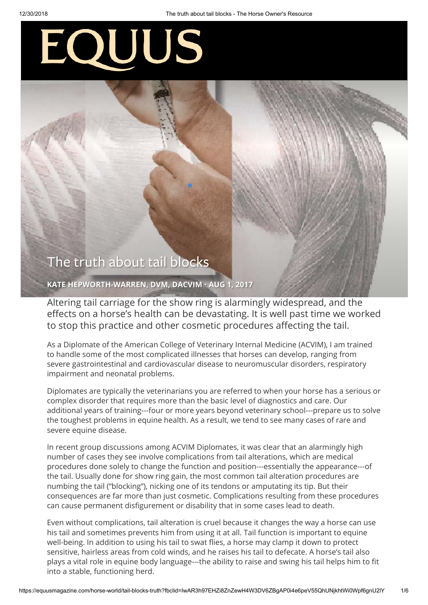# EQUUS

# The truth about tail blocks

**[KATE HEPWORTH-WARREN, DVM, DACVIM](https://equusmagazine.com/author/kate-hepworth-warren-dvm-dacvim) · AUG 1, 2017**

Altering tail carriage for the show ring is alarmingly widespread, and the effects on a horse's health can be devastating. It is well past time we worked to stop this practice and other cosmetic procedures affecting the tail.

As a Diplomate of the American College of Veterinary Internal Medicine (ACVIM), I am trained to handle some of the most complicated illnesses that horses can develop, ranging from severe gastrointestinal and cardiovascular disease to neuromuscular disorders, respiratory impairment and neonatal problems.

Diplomates are typically the veterinarians you are referred to when your horse has a serious or complex disorder that requires more than the basic level of diagnostics and care. Our additional years of training---four or more years beyond veterinary school---prepare us to solve the toughest problems in equine health. As a result, we tend to see many cases of rare and severe equine disease.

In recent group discussions among ACVIM Diplomates, it was clear that an alarmingly high number of cases they see involve complications from tail alterations, which are medical procedures done solely to change the function and position---essentially the appearance---of the tail. Usually done for show ring gain, the most common tail alteration procedures are numbing the tail ("blocking"), nicking one of its tendons or amputating its tip. But their consequences are far more than just cosmetic. Complications resulting from these procedures can cause permanent disfigurement or disability that in some cases lead to death.

Even without complications, tail alteration is cruel because it changes the way a horse can use his tail and sometimes prevents him from using it at all. Tail function is important to equine well-being. In addition to using his tail to swat flies, a horse may clamp it down to protect sensitive, hairless areas from cold winds, and he raises his tail to defecate. A horse's tail also plays a vital role in equine body language---the ability to raise and swing his tail helps him to fit into a stable, functioning herd.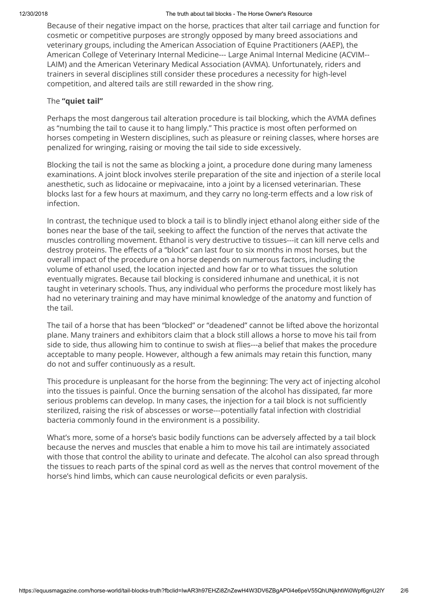Because of their negative impact on the horse, practices that alter tail carriage and function for cosmetic or competitive purposes are strongly opposed by many breed associations and veterinary groups, including the American Association of Equine Practitioners (AAEP), the American College of Veterinary Internal Medicine--- Large Animal Internal Medicine (ACVIM-- LAIM) and the American Veterinary Medical Association (AVMA). Unfortunately, riders and trainers in several disciplines still consider these procedures a necessity for high-level competition, and altered tails are still rewarded in the show ring.

## The **"quiet tail"**

Perhaps the most dangerous tail alteration procedure is tail blocking, which the AVMA defines as "numbing the tail to cause it to hang limply." This practice is most often performed on horses competing in Western disciplines, such as pleasure or reining classes, where horses are penalized for wringing, raising or moving the tail side to side excessively.

Blocking the tail is not the same as blocking a joint, a procedure done during many lameness examinations. A joint block involves sterile preparation of the site and injection of a sterile local anesthetic, such as lidocaine or mepivacaine, into a joint by a licensed veterinarian. These blocks last for a few hours at maximum, and they carry no long-term effects and a low risk of infection.

In contrast, the technique used to block a tail is to blindly inject ethanol along either side of the bones near the base of the tail, seeking to affect the function of the nerves that activate the muscles controlling movement. Ethanol is very destructive to tissues---it can kill nerve cells and destroy proteins. The effects of a "block" can last four to six months in most horses, but the overall impact of the procedure on a horse depends on numerous factors, including the volume of ethanol used, the location injected and how far or to what tissues the solution eventually migrates. Because tail blocking is considered inhumane and unethical, it is not taught in veterinary schools. Thus, any individual who performs the procedure most likely has had no veterinary training and may have minimal knowledge of the anatomy and function of the tail.

The tail of a horse that has been "blocked" or "deadened" cannot be lifted above the horizontal plane. Many trainers and exhibitors claim that a block still allows a horse to move his tail from side to side, thus allowing him to continue to swish at flies---a belief that makes the procedure acceptable to many people. However, although a few animals may retain this function, many do not and suffer continuously as a result.

This procedure is unpleasant for the horse from the beginning: The very act of injecting alcohol into the tissues is painful. Once the burning sensation of the alcohol has dissipated, far more serious problems can develop. In many cases, the injection for a tail block is not sufficiently sterilized, raising the risk of abscesses or worse---potentially fatal infection with clostridial bacteria commonly found in the environment is a possibility.

What's more, some of a horse's basic bodily functions can be adversely affected by a tail block because the nerves and muscles that enable a him to move his tail are intimately associated with those that control the ability to urinate and defecate. The alcohol can also spread through the tissues to reach parts of the spinal cord as well as the nerves that control movement of the horse's hind limbs, which can cause neurological deficits or even paralysis.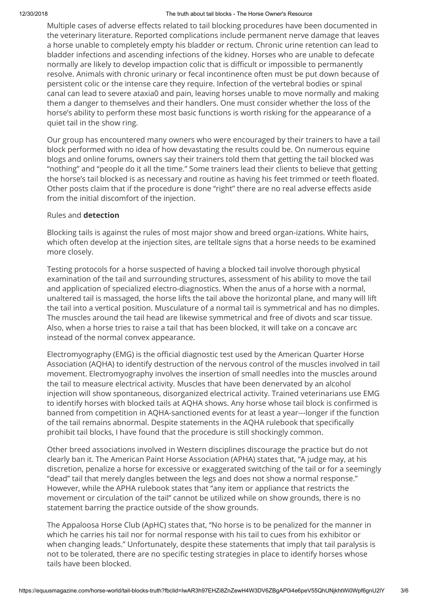Multiple cases of adverse effects related to tail blocking procedures have been documented in the veterinary literature. Reported complications include permanent nerve damage that leaves a horse unable to completely empty his bladder or rectum. Chronic urine retention can lead to bladder infections and ascending infections of the kidney. Horses who are unable to defecate normally are likely to develop impaction colic that is difficult or impossible to permanently resolve. Animals with chronic urinary or fecal incontinence often must be put down because of persistent colic or the intense care they require. Infection of the vertebral bodies or spinal canal can lead to severe ataxia0 and pain, leaving horses unable to move normally and making them a danger to themselves and their handlers. One must consider whether the loss of the horse's ability to perform these most basic functions is worth risking for the appearance of a quiet tail in the show ring.

Our group has encountered many owners who were encouraged by their trainers to have a tail block performed with no idea of how devastating the results could be. On numerous equine blogs and online forums, owners say their trainers told them that getting the tail blocked was "nothing" and "people do it all the time." Some trainers lead their clients to believe that getting the horse's tail blocked is as necessary and routine as having his feet trimmed or teeth floated. Other posts claim that if the procedure is done "right" there are no real adverse effects aside from the initial discomfort of the injection.

## Rules and **detection**

Blocking tails is against the rules of most major show and breed organ-izations. White hairs, which often develop at the injection sites, are telltale signs that a horse needs to be examined more closely.

Testing protocols for a horse suspected of having a blocked tail involve thorough physical examination of the tail and surrounding structures, assessment of his ability to move the tail and application of specialized electro-diagnostics. When the anus of a horse with a normal, unaltered tail is massaged, the horse lifts the tail above the horizontal plane, and many will lift the tail into a vertical position. Musculature of a normal tail is symmetrical and has no dimples. The muscles around the tail head are likewise symmetrical and free of divots and scar tissue. Also, when a horse tries to raise a tail that has been blocked, it will take on a concave arc instead of the normal convex appearance.

Electromyography (EMG) is the official diagnostic test used by the American Quarter Horse Association (AQHA) to identify destruction of the nervous control of the muscles involved in tail movement. Electromyography involves the insertion of small needles into the muscles around the tail to measure electrical activity. Muscles that have been denervated by an alcohol injection will show spontaneous, disorganized electrical activity. Trained veterinarians use EMG to identify horses with blocked tails at AQHA shows. Any horse whose tail block is confirmed is banned from competition in AQHA-sanctioned events for at least a year---longer if the function of the tail remains abnormal. Despite statements in the AOHA rulebook that specifically prohibit tail blocks, I have found that the procedure is still shockingly common.

Other breed associations involved in Western disciplines discourage the practice but do not clearly ban it. The American Paint Horse Association (APHA) states that, "A judge may, at his discretion, penalize a horse for excessive or exaggerated switching of the tail or for a seemingly "dead" tail that merely dangles between the legs and does not show a normal response." However, while the APHA rulebook states that "any item or appliance that restricts the movement or circulation of the tail" cannot be utilized while on show grounds, there is no statement barring the practice outside of the show grounds.

The Appaloosa Horse Club (ApHC) states that, "No horse is to be penalized for the manner in which he carries his tail nor for normal response with his tail to cues from his exhibitor or when changing leads." Unfortunately, despite these statements that imply that tail paralysis is not to be tolerated, there are no specific testing strategies in place to identify horses whose tails have been blocked.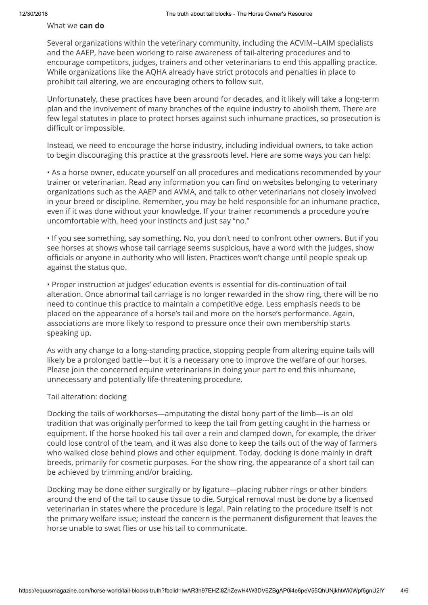#### What we **can do**

Several organizations within the veterinary community, including the ACVIM--LAIM specialists and the AAEP, have been working to raise awareness of tail-altering procedures and to encourage competitors, judges, trainers and other veterinarians to end this appalling practice. While organizations like the AQHA already have strict protocols and penalties in place to prohibit tail altering, we are encouraging others to follow suit.

Unfortunately, these practices have been around for decades, and it likely will take a long-term plan and the involvement of many branches of the equine industry to abolish them. There are few legal statutes in place to protect horses against such inhumane practices, so prosecution is difficult or impossible.

Instead, we need to encourage the horse industry, including individual owners, to take action to begin discouraging this practice at the grassroots level. Here are some ways you can help:

• As a horse owner, educate yourself on all procedures and medications recommended by your trainer or veterinarian. Read any information you can find on websites belonging to veterinary organizations such as the AAEP and AVMA, and talk to other veterinarians not closely involved in your breed or discipline. Remember, you may be held responsible for an inhumane practice, even if it was done without your knowledge. If your trainer recommends a procedure you're uncomfortable with, heed your instincts and just say "no."

• If you see something, say something. No, you don't need to confront other owners. But if you see horses at shows whose tail carriage seems suspicious, have a word with the judges, show officials or anyone in authority who will listen. Practices won't change until people speak up against the status quo.

• Proper instruction at judges' education events is essential for dis-continuation of tail alteration. Once abnormal tail carriage is no longer rewarded in the show ring, there will be no need to continue this practice to maintain a competitive edge. Less emphasis needs to be placed on the appearance of a horse's tail and more on the horse's performance. Again, associations are more likely to respond to pressure once their own membership starts speaking up.

As with any change to a long-standing practice, stopping people from altering equine tails will likely be a prolonged battle---but it is a necessary one to improve the welfare of our horses. Please join the concerned equine veterinarians in doing your part to end this inhumane, unnecessary and potentially life-threatening procedure.

#### Tail alteration: docking

Docking the tails of workhorses—amputating the distal bony part of the limb—is an old tradition that was originally performed to keep the tail from getting caught in the harness or equipment. If the horse hooked his tail over a rein and clamped down, for example, the driver could lose control of the team, and it was also done to keep the tails out of the way of farmers who walked close behind plows and other equipment. Today, docking is done mainly in draft breeds, primarily for cosmetic purposes. For the show ring, the appearance of a short tail can be achieved by trimming and/or braiding.

Docking may be done either surgically or by ligature—placing rubber rings or other binders around the end of the tail to cause tissue to die. Surgical removal must be done by a licensed veterinarian in states where the procedure is legal. Pain relating to the procedure itself is not the primary welfare issue; instead the concern is the permanent disfigurement that leaves the horse unable to swat flies or use his tail to communicate.